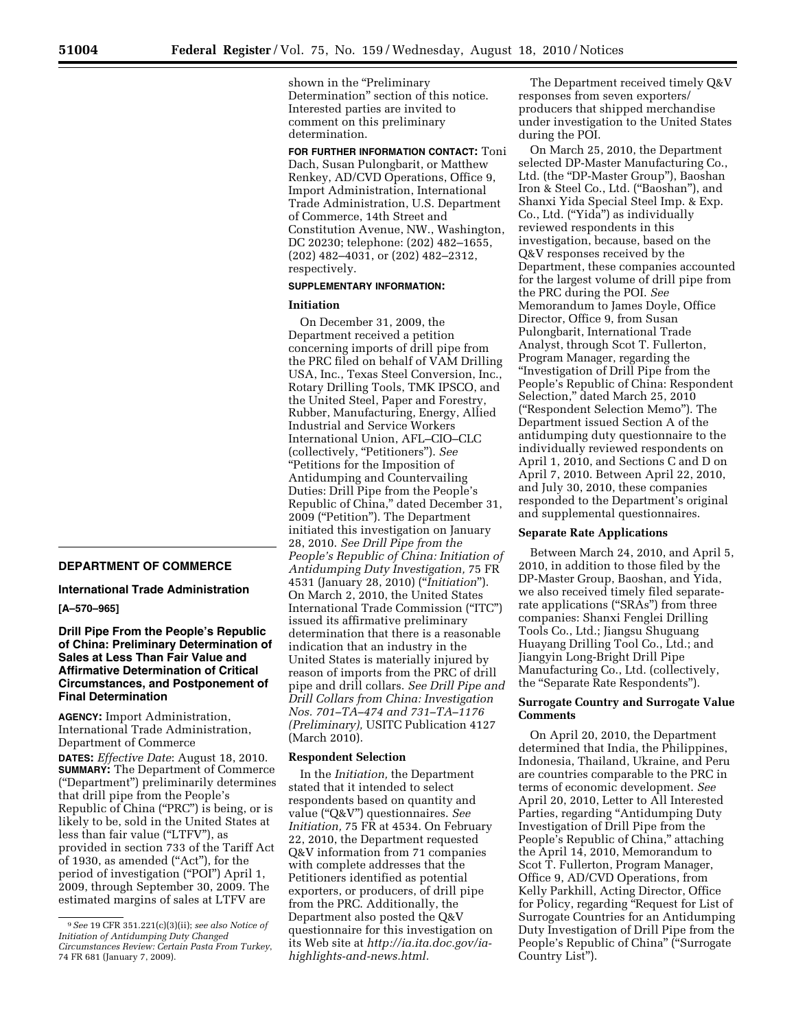**DEPARTMENT OF COMMERCE** 

# **International Trade Administration**

## **[A–570–965]**

## **Drill Pipe From the People's Republic of China: Preliminary Determination of Sales at Less Than Fair Value and Affirmative Determination of Critical Circumstances, and Postponement of Final Determination**

**AGENCY:** Import Administration, International Trade Administration, Department of Commerce

**DATES:** *Effective Date*: August 18, 2010. **SUMMARY:** The Department of Commerce (''Department'') preliminarily determines that drill pipe from the People's Republic of China (''PRC'') is being, or is likely to be, sold in the United States at less than fair value ("LTFV"), as provided in section 733 of the Tariff Act of 1930, as amended (''Act''), for the period of investigation (''POI'') April 1, 2009, through September 30, 2009. The estimated margins of sales at LTFV are

shown in the "Preliminary Determination'' section of this notice. Interested parties are invited to comment on this preliminary determination.

**FOR FURTHER INFORMATION CONTACT:** Toni Dach, Susan Pulongbarit, or Matthew Renkey, AD/CVD Operations, Office 9, Import Administration, International Trade Administration, U.S. Department of Commerce, 14th Street and Constitution Avenue, NW., Washington, DC 20230; telephone: (202) 482–1655, (202) 482–4031, or (202) 482–2312, respectively.

## **SUPPLEMENTARY INFORMATION:**

## **Initiation**

On December 31, 2009, the Department received a petition concerning imports of drill pipe from the PRC filed on behalf of VAM Drilling USA, Inc., Texas Steel Conversion, Inc., Rotary Drilling Tools, TMK IPSCO, and the United Steel, Paper and Forestry, Rubber, Manufacturing, Energy, Allied Industrial and Service Workers International Union, AFL–CIO–CLC (collectively, ''Petitioners''). *See*  ''Petitions for the Imposition of Antidumping and Countervailing Duties: Drill Pipe from the People's Republic of China,'' dated December 31, 2009 (''Petition''). The Department initiated this investigation on January 28, 2010. *See Drill Pipe from the People's Republic of China: Initiation of Antidumping Duty Investigation,* 75 FR 4531 (January 28, 2010) (''*Initiation*''). On March 2, 2010, the United States International Trade Commission (''ITC'') issued its affirmative preliminary determination that there is a reasonable indication that an industry in the United States is materially injured by reason of imports from the PRC of drill pipe and drill collars. *See Drill Pipe and Drill Collars from China: Investigation Nos. 701–TA–474 and 731–TA–1176 (Preliminary),* USITC Publication 4127 (March 2010).

## **Respondent Selection**

In the *Initiation,* the Department stated that it intended to select respondents based on quantity and value (''Q&V'') questionnaires. *See Initiation,* 75 FR at 4534. On February 22, 2010, the Department requested Q&V information from 71 companies with complete addresses that the Petitioners identified as potential exporters, or producers, of drill pipe from the PRC. Additionally, the Department also posted the Q&V questionnaire for this investigation on its Web site at *http://ia.ita.doc.gov/iahighlights-and-news.html.* 

The Department received timely Q&V responses from seven exporters/ producers that shipped merchandise under investigation to the United States during the POI.

On March 25, 2010, the Department selected DP-Master Manufacturing Co., Ltd. (the "DP-Master Group"), Baoshan Iron & Steel Co., Ltd. (''Baoshan''), and Shanxi Yida Special Steel Imp. & Exp. Co., Ltd. (''Yida'') as individually reviewed respondents in this investigation, because, based on the Q&V responses received by the Department, these companies accounted for the largest volume of drill pipe from the PRC during the POI. *See*  Memorandum to James Doyle, Office Director, Office 9, from Susan Pulongbarit, International Trade Analyst, through Scot T. Fullerton, Program Manager, regarding the ''Investigation of Drill Pipe from the People's Republic of China: Respondent Selection,'' dated March 25, 2010 (''Respondent Selection Memo''). The Department issued Section A of the antidumping duty questionnaire to the individually reviewed respondents on April 1, 2010, and Sections C and D on April 7, 2010. Between April 22, 2010, and July 30, 2010, these companies responded to the Department's original and supplemental questionnaires.

## **Separate Rate Applications**

Between March 24, 2010, and April 5, 2010, in addition to those filed by the DP-Master Group, Baoshan, and Yida, we also received timely filed separaterate applications ("SRAs") from three companies: Shanxi Fenglei Drilling Tools Co., Ltd.; Jiangsu Shuguang Huayang Drilling Tool Co., Ltd.; and Jiangyin Long-Bright Drill Pipe Manufacturing Co., Ltd. (collectively, the ''Separate Rate Respondents'').

## **Surrogate Country and Surrogate Value Comments**

On April 20, 2010, the Department determined that India, the Philippines, Indonesia, Thailand, Ukraine, and Peru are countries comparable to the PRC in terms of economic development. *See*  April 20, 2010, Letter to All Interested Parties, regarding "Antidumping Duty Investigation of Drill Pipe from the People's Republic of China," attaching the April 14, 2010, Memorandum to Scot T. Fullerton, Program Manager, Office 9, AD/CVD Operations, from Kelly Parkhill, Acting Director, Office for Policy, regarding ''Request for List of Surrogate Countries for an Antidumping Duty Investigation of Drill Pipe from the People's Republic of China" ("Surrogate Country List'').

<sup>9</sup>*See* 19 CFR 351.221(c)(3)(ii); *see also Notice of Initiation of Antidumping Duty Changed Circumstances Review: Certain Pasta From Turkey*, 74 FR 681 (January 7, 2009).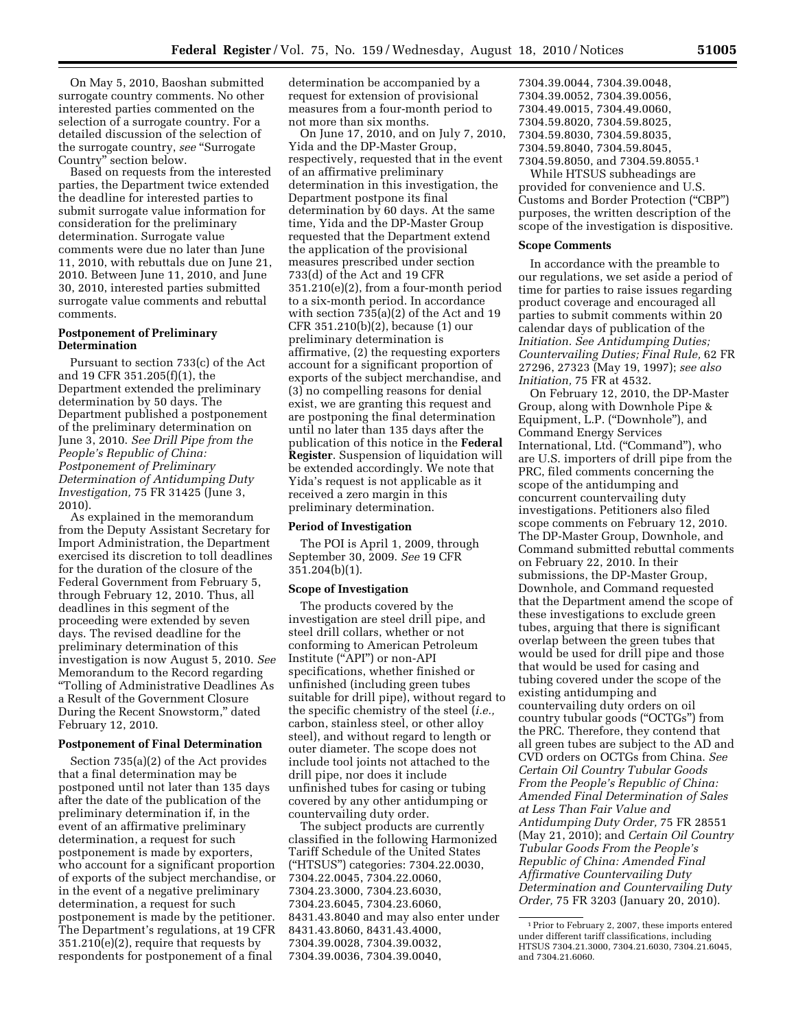On May 5, 2010, Baoshan submitted surrogate country comments. No other interested parties commented on the selection of a surrogate country. For a detailed discussion of the selection of the surrogate country, *see* ''Surrogate Country'' section below.

Based on requests from the interested parties, the Department twice extended the deadline for interested parties to submit surrogate value information for consideration for the preliminary determination. Surrogate value comments were due no later than June 11, 2010, with rebuttals due on June 21, 2010. Between June 11, 2010, and June 30, 2010, interested parties submitted surrogate value comments and rebuttal comments.

## **Postponement of Preliminary Determination**

Pursuant to section 733(c) of the Act and 19 CFR 351.205(f)(1), the Department extended the preliminary determination by 50 days. The Department published a postponement of the preliminary determination on June 3, 2010. *See Drill Pipe from the People's Republic of China: Postponement of Preliminary Determination of Antidumping Duty Investigation,* 75 FR 31425 (June 3, 2010).

As explained in the memorandum from the Deputy Assistant Secretary for Import Administration, the Department exercised its discretion to toll deadlines for the duration of the closure of the Federal Government from February 5, through February 12, 2010. Thus, all deadlines in this segment of the proceeding were extended by seven days. The revised deadline for the preliminary determination of this investigation is now August 5, 2010. *See*  Memorandum to the Record regarding ''Tolling of Administrative Deadlines As a Result of the Government Closure During the Recent Snowstorm,'' dated February 12, 2010.

### **Postponement of Final Determination**

Section 735(a)(2) of the Act provides that a final determination may be postponed until not later than 135 days after the date of the publication of the preliminary determination if, in the event of an affirmative preliminary determination, a request for such postponement is made by exporters, who account for a significant proportion of exports of the subject merchandise, or in the event of a negative preliminary determination, a request for such postponement is made by the petitioner. The Department's regulations, at 19 CFR 351.210(e)(2), require that requests by respondents for postponement of a final

determination be accompanied by a request for extension of provisional measures from a four-month period to not more than six months.

On June 17, 2010, and on July 7, 2010, Yida and the DP-Master Group, respectively, requested that in the event of an affirmative preliminary determination in this investigation, the Department postpone its final determination by 60 days. At the same time, Yida and the DP-Master Group requested that the Department extend the application of the provisional measures prescribed under section 733(d) of the Act and 19 CFR 351.210(e)(2), from a four-month period to a six-month period. In accordance with section 735(a)(2) of the Act and 19 CFR 351.210(b)(2), because (1) our preliminary determination is affirmative, (2) the requesting exporters account for a significant proportion of exports of the subject merchandise, and (3) no compelling reasons for denial exist, we are granting this request and are postponing the final determination until no later than 135 days after the publication of this notice in the **Federal Register**. Suspension of liquidation will be extended accordingly. We note that Yida's request is not applicable as it received a zero margin in this preliminary determination.

## **Period of Investigation**

The POI is April 1, 2009, through September 30, 2009. *See* 19 CFR 351.204(b)(1).

#### **Scope of Investigation**

The products covered by the investigation are steel drill pipe, and steel drill collars, whether or not conforming to American Petroleum Institute (''API'') or non-API specifications, whether finished or unfinished (including green tubes suitable for drill pipe), without regard to the specific chemistry of the steel (*i.e.,*  carbon, stainless steel, or other alloy steel), and without regard to length or outer diameter. The scope does not include tool joints not attached to the drill pipe, nor does it include unfinished tubes for casing or tubing covered by any other antidumping or countervailing duty order.

The subject products are currently classified in the following Harmonized Tariff Schedule of the United States (''HTSUS'') categories: 7304.22.0030, 7304.22.0045, 7304.22.0060, 7304.23.3000, 7304.23.6030, 7304.23.6045, 7304.23.6060, 8431.43.8040 and may also enter under 8431.43.8060, 8431.43.4000, 7304.39.0028, 7304.39.0032, 7304.39.0036, 7304.39.0040,

7304.39.0044, 7304.39.0048, 7304.39.0052, 7304.39.0056, 7304.49.0015, 7304.49.0060, 7304.59.8020, 7304.59.8025, 7304.59.8030, 7304.59.8035, 7304.59.8040, 7304.59.8045, 7304.59.8050, and 7304.59.8055.1

While HTSUS subheadings are provided for convenience and U.S. Customs and Border Protection (''CBP'') purposes, the written description of the scope of the investigation is dispositive.

#### **Scope Comments**

In accordance with the preamble to our regulations, we set aside a period of time for parties to raise issues regarding product coverage and encouraged all parties to submit comments within 20 calendar days of publication of the *Initiation. See Antidumping Duties; Countervailing Duties; Final Rule,* 62 FR 27296, 27323 (May 19, 1997); *see also Initiation,* 75 FR at 4532.

On February 12, 2010, the DP-Master Group, along with Downhole Pipe & Equipment, L.P. (''Downhole''), and Command Energy Services International, Ltd. ("Command"), who are U.S. importers of drill pipe from the PRC, filed comments concerning the scope of the antidumping and concurrent countervailing duty investigations. Petitioners also filed scope comments on February 12, 2010. The DP-Master Group, Downhole, and Command submitted rebuttal comments on February 22, 2010. In their submissions, the DP-Master Group, Downhole, and Command requested that the Department amend the scope of these investigations to exclude green tubes, arguing that there is significant overlap between the green tubes that would be used for drill pipe and those that would be used for casing and tubing covered under the scope of the existing antidumping and countervailing duty orders on oil country tubular goods (''OCTGs'') from the PRC. Therefore, they contend that all green tubes are subject to the AD and CVD orders on OCTGs from China. *See Certain Oil Country Tubular Goods From the People's Republic of China: Amended Final Determination of Sales at Less Than Fair Value and Antidumping Duty Order,* 75 FR 28551 (May 21, 2010); and *Certain Oil Country Tubular Goods From the People's Republic of China: Amended Final Affirmative Countervailing Duty Determination and Countervailing Duty Order,* 75 FR 3203 (January 20, 2010).

<sup>1</sup>Prior to February 2, 2007, these imports entered under different tariff classifications, including HTSUS 7304.21.3000, 7304.21.6030, 7304.21.6045, and 7304.21.6060.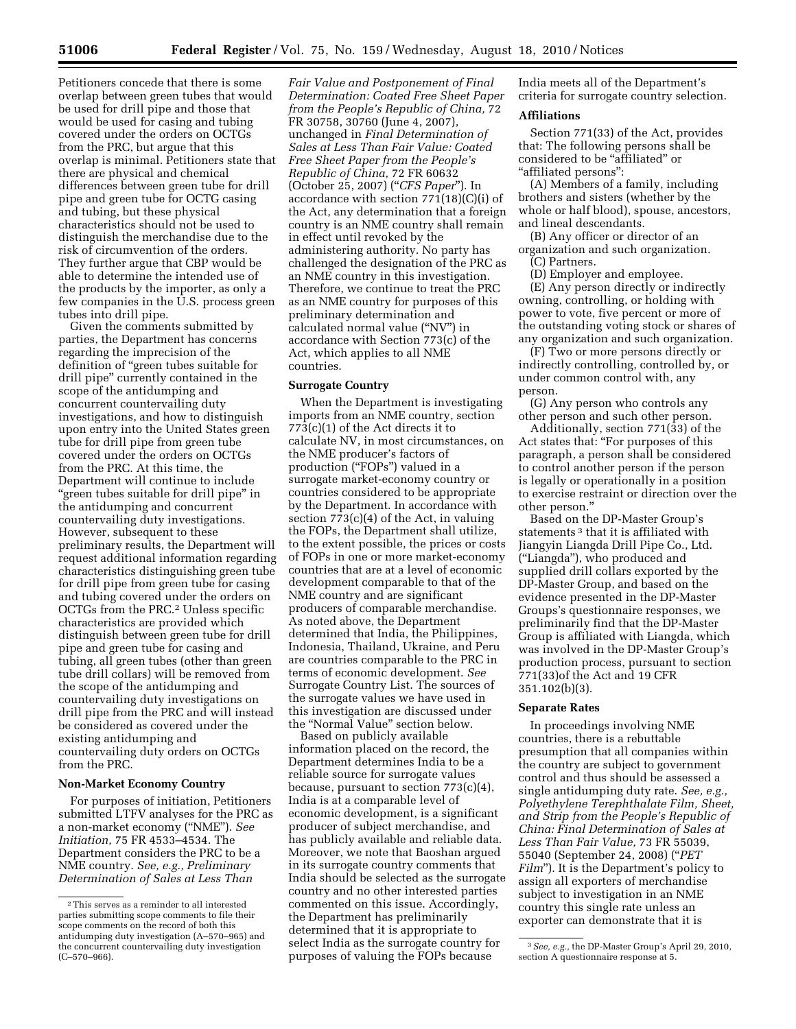Petitioners concede that there is some overlap between green tubes that would be used for drill pipe and those that would be used for casing and tubing covered under the orders on OCTGs from the PRC, but argue that this overlap is minimal. Petitioners state that there are physical and chemical differences between green tube for drill pipe and green tube for OCTG casing and tubing, but these physical characteristics should not be used to distinguish the merchandise due to the risk of circumvention of the orders. They further argue that CBP would be able to determine the intended use of the products by the importer, as only a few companies in the U.S. process green tubes into drill pipe.

Given the comments submitted by parties, the Department has concerns regarding the imprecision of the definition of ''green tubes suitable for drill pipe'' currently contained in the scope of the antidumping and concurrent countervailing duty investigations, and how to distinguish upon entry into the United States green tube for drill pipe from green tube covered under the orders on OCTGs from the PRC. At this time, the Department will continue to include ''green tubes suitable for drill pipe'' in the antidumping and concurrent countervailing duty investigations. However, subsequent to these preliminary results, the Department will request additional information regarding characteristics distinguishing green tube for drill pipe from green tube for casing and tubing covered under the orders on OCTGs from the PRC.2 Unless specific characteristics are provided which distinguish between green tube for drill pipe and green tube for casing and tubing, all green tubes (other than green tube drill collars) will be removed from the scope of the antidumping and countervailing duty investigations on drill pipe from the PRC and will instead be considered as covered under the existing antidumping and countervailing duty orders on OCTGs from the PRC.

## **Non-Market Economy Country**

For purposes of initiation, Petitioners submitted LTFV analyses for the PRC as a non-market economy (''NME''). *See Initiation,* 75 FR 4533–4534. The Department considers the PRC to be a NME country. *See, e.g., Preliminary Determination of Sales at Less Than* 

*Fair Value and Postponement of Final Determination: Coated Free Sheet Paper from the People's Republic of China,* 72 FR 30758, 30760 (June 4, 2007), unchanged in *Final Determination of Sales at Less Than Fair Value: Coated Free Sheet Paper from the People's Republic of China,* 72 FR 60632 (October 25, 2007) (''*CFS Paper*''). In accordance with section 771(18)(C)(i) of the Act, any determination that a foreign country is an NME country shall remain in effect until revoked by the administering authority. No party has challenged the designation of the PRC as an NME country in this investigation. Therefore, we continue to treat the PRC as an NME country for purposes of this preliminary determination and calculated normal value (''NV'') in accordance with Section 773(c) of the Act, which applies to all NME countries.

#### **Surrogate Country**

When the Department is investigating imports from an NME country, section 773(c)(1) of the Act directs it to calculate NV, in most circumstances, on the NME producer's factors of production (''FOPs'') valued in a surrogate market-economy country or countries considered to be appropriate by the Department. In accordance with section 773(c)(4) of the Act, in valuing the FOPs, the Department shall utilize, to the extent possible, the prices or costs of FOPs in one or more market-economy countries that are at a level of economic development comparable to that of the NME country and are significant producers of comparable merchandise. As noted above, the Department determined that India, the Philippines, Indonesia, Thailand, Ukraine, and Peru are countries comparable to the PRC in terms of economic development. *See*  Surrogate Country List. The sources of the surrogate values we have used in this investigation are discussed under the "Normal Value" section below.

Based on publicly available information placed on the record, the Department determines India to be a reliable source for surrogate values because, pursuant to section 773(c)(4), India is at a comparable level of economic development, is a significant producer of subject merchandise, and has publicly available and reliable data. Moreover, we note that Baoshan argued in its surrogate country comments that India should be selected as the surrogate country and no other interested parties commented on this issue. Accordingly, the Department has preliminarily determined that it is appropriate to select India as the surrogate country for purposes of valuing the FOPs because

India meets all of the Department's criteria for surrogate country selection.

## **Affiliations**

Section 771(33) of the Act, provides that: The following persons shall be considered to be "affiliated" or ''affiliated persons'':

(A) Members of a family, including brothers and sisters (whether by the whole or half blood), spouse, ancestors, and lineal descendants.

(B) Any officer or director of an organization and such organization.

(C) Partners.

(D) Employer and employee. (E) Any person directly or indirectly owning, controlling, or holding with power to vote, five percent or more of the outstanding voting stock or shares of any organization and such organization.

(F) Two or more persons directly or indirectly controlling, controlled by, or under common control with, any person.

(G) Any person who controls any other person and such other person.

Additionally, section 771(33) of the Act states that: ''For purposes of this paragraph, a person shall be considered to control another person if the person is legally or operationally in a position to exercise restraint or direction over the other person.''

Based on the DP-Master Group's statements 3 that it is affiliated with Jiangyin Liangda Drill Pipe Co., Ltd. (''Liangda''), who produced and supplied drill collars exported by the DP-Master Group, and based on the evidence presented in the DP-Master Groups's questionnaire responses, we preliminarily find that the DP-Master Group is affiliated with Liangda, which was involved in the DP-Master Group's production process, pursuant to section 771(33)of the Act and 19 CFR 351.102(b)(3).

#### **Separate Rates**

In proceedings involving NME countries, there is a rebuttable presumption that all companies within the country are subject to government control and thus should be assessed a single antidumping duty rate. *See, e.g., Polyethylene Terephthalate Film, Sheet, and Strip from the People's Republic of China: Final Determination of Sales at Less Than Fair Value,* 73 FR 55039, 55040 (September 24, 2008) (''*PET Film*"). It is the Department's policy to assign all exporters of merchandise subject to investigation in an NME country this single rate unless an exporter can demonstrate that it is

<sup>2</sup>This serves as a reminder to all interested parties submitting scope comments to file their scope comments on the record of both this antidumping duty investigation (A–570–965) and the concurrent countervailing duty investigation (C–570–966).

<sup>3</sup>*See, e.g.,* the DP-Master Group's April 29, 2010, section A questionnaire response at 5.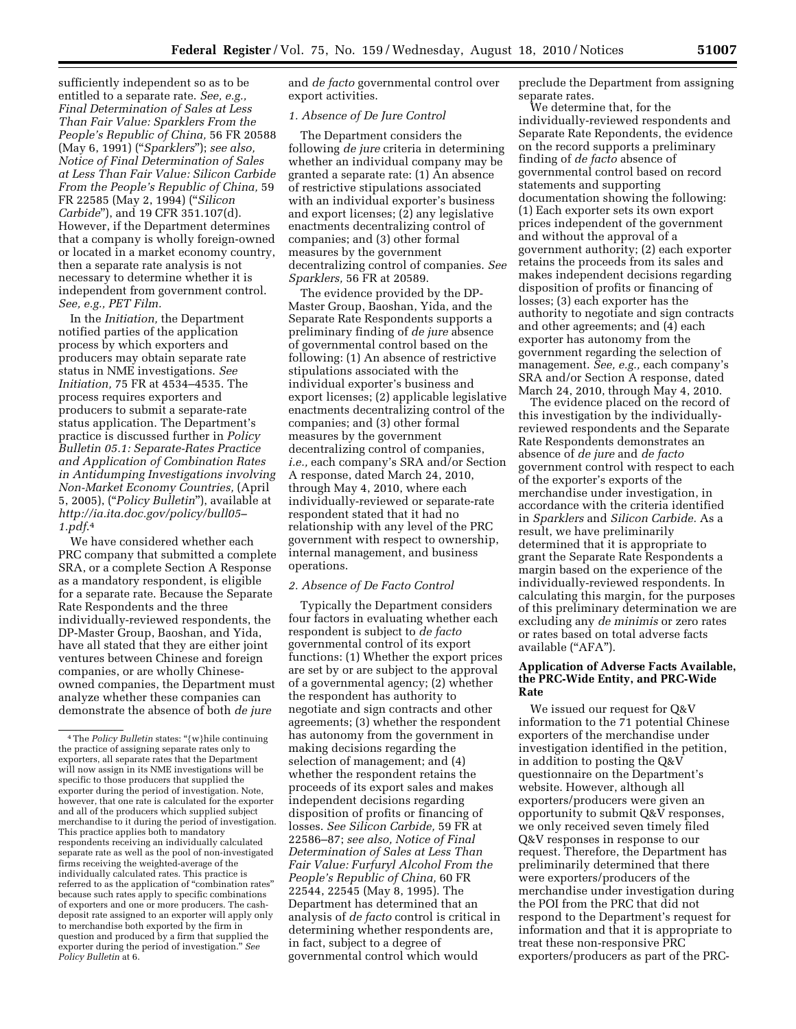sufficiently independent so as to be entitled to a separate rate. *See, e.g., Final Determination of Sales at Less Than Fair Value: Sparklers From the People's Republic of China,* 56 FR 20588 (May 6, 1991) (''*Sparklers*''); *see also, Notice of Final Determination of Sales at Less Than Fair Value: Silicon Carbide From the People's Republic of China,* 59 FR 22585 (May 2, 1994) (''*Silicon Carbide*''), and 19 CFR 351.107(d). However, if the Department determines that a company is wholly foreign-owned or located in a market economy country, then a separate rate analysis is not necessary to determine whether it is independent from government control. *See, e.g., PET Film.* 

In the *Initiation,* the Department notified parties of the application process by which exporters and producers may obtain separate rate status in NME investigations. *See Initiation,* 75 FR at 4534–4535. The process requires exporters and producers to submit a separate-rate status application. The Department's practice is discussed further in *Policy Bulletin 05.1: Separate-Rates Practice and Application of Combination Rates in Antidumping Investigations involving Non-Market Economy Countries,* (April 5, 2005), (''*Policy Bulletin*''), available at *http://ia.ita.doc.gov/policy/bull05– 1.pdf*.4

We have considered whether each PRC company that submitted a complete SRA, or a complete Section A Response as a mandatory respondent, is eligible for a separate rate. Because the Separate Rate Respondents and the three individually-reviewed respondents, the DP-Master Group, Baoshan, and Yida, have all stated that they are either joint ventures between Chinese and foreign companies, or are wholly Chineseowned companies, the Department must analyze whether these companies can demonstrate the absence of both *de jure* 

and *de facto* governmental control over export activities.

## *1. Absence of De Jure Control*

The Department considers the following *de jure* criteria in determining whether an individual company may be granted a separate rate: (1) An absence of restrictive stipulations associated with an individual exporter's business and export licenses; (2) any legislative enactments decentralizing control of companies; and (3) other formal measures by the government decentralizing control of companies. *See Sparklers,* 56 FR at 20589.

The evidence provided by the DP-Master Group, Baoshan, Yida, and the Separate Rate Respondents supports a preliminary finding of *de jure* absence of governmental control based on the following: (1) An absence of restrictive stipulations associated with the individual exporter's business and export licenses; (2) applicable legislative enactments decentralizing control of the companies; and (3) other formal measures by the government decentralizing control of companies, *i.e.,* each company's SRA and/or Section A response, dated March 24, 2010, through May 4, 2010, where each individually-reviewed or separate-rate respondent stated that it had no relationship with any level of the PRC government with respect to ownership, internal management, and business operations.

## *2. Absence of De Facto Control*

Typically the Department considers four factors in evaluating whether each respondent is subject to *de facto*  governmental control of its export functions: (1) Whether the export prices are set by or are subject to the approval of a governmental agency; (2) whether the respondent has authority to negotiate and sign contracts and other agreements; (3) whether the respondent has autonomy from the government in making decisions regarding the selection of management; and (4) whether the respondent retains the proceeds of its export sales and makes independent decisions regarding disposition of profits or financing of losses. *See Silicon Carbide,* 59 FR at 22586–87; *see also, Notice of Final Determination of Sales at Less Than Fair Value: Furfuryl Alcohol From the People's Republic of China,* 60 FR 22544, 22545 (May 8, 1995). The Department has determined that an analysis of *de facto* control is critical in determining whether respondents are, in fact, subject to a degree of governmental control which would

preclude the Department from assigning separate rates.

We determine that, for the individually-reviewed respondents and Separate Rate Repondents, the evidence on the record supports a preliminary finding of *de facto* absence of governmental control based on record statements and supporting documentation showing the following: (1) Each exporter sets its own export prices independent of the government and without the approval of a government authority; (2) each exporter retains the proceeds from its sales and makes independent decisions regarding disposition of profits or financing of losses; (3) each exporter has the authority to negotiate and sign contracts and other agreements; and (4) each exporter has autonomy from the government regarding the selection of management. *See, e.g.,* each company's SRA and/or Section A response, dated March 24, 2010, through May 4, 2010.

The evidence placed on the record of this investigation by the individuallyreviewed respondents and the Separate Rate Respondents demonstrates an absence of *de jure* and *de facto*  government control with respect to each of the exporter's exports of the merchandise under investigation, in accordance with the criteria identified in *Sparklers* and *Silicon Carbide.* As a result, we have preliminarily determined that it is appropriate to grant the Separate Rate Respondents a margin based on the experience of the individually-reviewed respondents. In calculating this margin, for the purposes of this preliminary determination we are excluding any *de minimis* or zero rates or rates based on total adverse facts available (''AFA'').

## **Application of Adverse Facts Available, the PRC-Wide Entity, and PRC-Wide Rate**

We issued our request for Q&V information to the 71 potential Chinese exporters of the merchandise under investigation identified in the petition, in addition to posting the Q&V questionnaire on the Department's website. However, although all exporters/producers were given an opportunity to submit  $Q&\bar{V}$  responses, we only received seven timely filed Q&V responses in response to our request. Therefore, the Department has preliminarily determined that there were exporters/producers of the merchandise under investigation during the POI from the PRC that did not respond to the Department's request for information and that it is appropriate to treat these non-responsive PRC exporters/producers as part of the PRC-

<sup>4</sup>The *Policy Bulletin* states: ''{w}hile continuing the practice of assigning separate rates only to exporters, all separate rates that the Department will now assign in its NME investigations will be specific to those producers that supplied the exporter during the period of investigation. Note, however, that one rate is calculated for the exporter and all of the producers which supplied subject merchandise to it during the period of investigation. This practice applies both to mandatory respondents receiving an individually calculated separate rate as well as the pool of non-investigated firms receiving the weighted-average of the individually calculated rates. This practice is referred to as the application of "combination rates" because such rates apply to specific combinations of exporters and one or more producers. The cashdeposit rate assigned to an exporter will apply only to merchandise both exported by the firm in question and produced by a firm that supplied the exporter during the period of investigation.'' *See Policy Bulletin* at 6.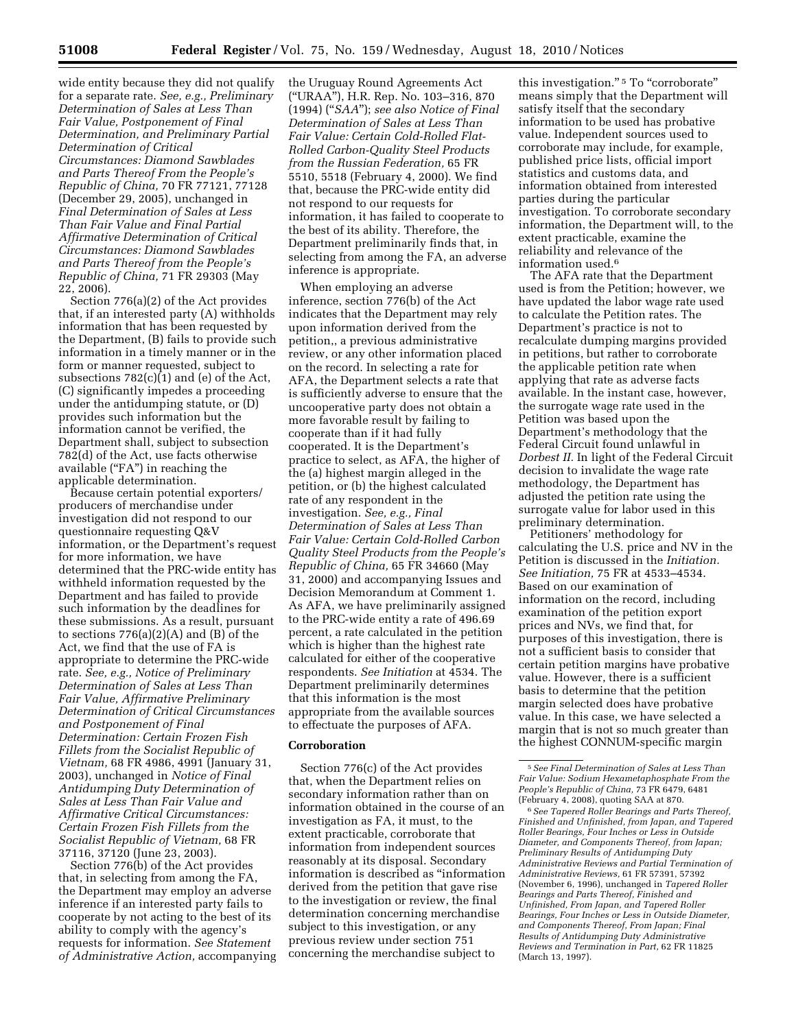wide entity because they did not qualify for a separate rate. *See, e.g., Preliminary Determination of Sales at Less Than Fair Value, Postponement of Final Determination, and Preliminary Partial Determination of Critical Circumstances: Diamond Sawblades and Parts Thereof From the People's Republic of China,* 70 FR 77121, 77128 (December 29, 2005), unchanged in *Final Determination of Sales at Less Than Fair Value and Final Partial Affirmative Determination of Critical Circumstances: Diamond Sawblades and Parts Thereof from the People's Republic of China,* 71 FR 29303 (May 22, 2006).

Section 776(a)(2) of the Act provides that, if an interested party (A) withholds information that has been requested by the Department, (B) fails to provide such information in a timely manner or in the form or manner requested, subject to subsections 782(c)(1) and (e) of the Act, (C) significantly impedes a proceeding under the antidumping statute, or (D) provides such information but the information cannot be verified, the Department shall, subject to subsection 782(d) of the Act, use facts otherwise available ("FA") in reaching the applicable determination.

Because certain potential exporters/ producers of merchandise under investigation did not respond to our questionnaire requesting Q&V information, or the Department's request for more information, we have determined that the PRC-wide entity has withheld information requested by the Department and has failed to provide such information by the deadlines for these submissions. As a result, pursuant to sections  $776(a)(2)(A)$  and  $(B)$  of the Act, we find that the use of FA is appropriate to determine the PRC-wide rate. *See, e.g., Notice of Preliminary Determination of Sales at Less Than Fair Value, Affirmative Preliminary Determination of Critical Circumstances and Postponement of Final Determination: Certain Frozen Fish Fillets from the Socialist Republic of Vietnam,* 68 FR 4986, 4991 (January 31, 2003), unchanged in *Notice of Final Antidumping Duty Determination of Sales at Less Than Fair Value and Affirmative Critical Circumstances: Certain Frozen Fish Fillets from the Socialist Republic of Vietnam,* 68 FR 37116, 37120 (June 23, 2003).

Section 776(b) of the Act provides that, in selecting from among the FA, the Department may employ an adverse inference if an interested party fails to cooperate by not acting to the best of its ability to comply with the agency's requests for information. *See Statement of Administrative Action,* accompanying the Uruguay Round Agreements Act (''URAA''), H.R. Rep. No. 103–316, 870 (1994) (''*SAA*''); *see also Notice of Final Determination of Sales at Less Than Fair Value: Certain Cold-Rolled Flat-Rolled Carbon-Quality Steel Products from the Russian Federation,* 65 FR 5510, 5518 (February 4, 2000). We find that, because the PRC-wide entity did not respond to our requests for information, it has failed to cooperate to the best of its ability. Therefore, the Department preliminarily finds that, in selecting from among the FA, an adverse inference is appropriate.

When employing an adverse inference, section 776(b) of the Act indicates that the Department may rely upon information derived from the petition,, a previous administrative review, or any other information placed on the record. In selecting a rate for AFA, the Department selects a rate that is sufficiently adverse to ensure that the uncooperative party does not obtain a more favorable result by failing to cooperate than if it had fully cooperated. It is the Department's practice to select, as AFA, the higher of the (a) highest margin alleged in the petition, or (b) the highest calculated rate of any respondent in the investigation. *See, e.g., Final Determination of Sales at Less Than Fair Value: Certain Cold-Rolled Carbon Quality Steel Products from the People's Republic of China,* 65 FR 34660 (May 31, 2000) and accompanying Issues and Decision Memorandum at Comment 1. As AFA, we have preliminarily assigned to the PRC-wide entity a rate of 496.69 percent, a rate calculated in the petition which is higher than the highest rate calculated for either of the cooperative respondents. *See Initiation* at 4534. The Department preliminarily determines that this information is the most appropriate from the available sources to effectuate the purposes of AFA.

## **Corroboration**

Section 776(c) of the Act provides that, when the Department relies on secondary information rather than on information obtained in the course of an investigation as FA, it must, to the extent practicable, corroborate that information from independent sources reasonably at its disposal. Secondary information is described as ''information derived from the petition that gave rise to the investigation or review, the final determination concerning merchandise subject to this investigation, or any previous review under section 751 concerning the merchandise subject to

this investigation."<sup>5</sup> To "corroborate" means simply that the Department will satisfy itself that the secondary information to be used has probative value. Independent sources used to corroborate may include, for example, published price lists, official import statistics and customs data, and information obtained from interested parties during the particular investigation. To corroborate secondary information, the Department will, to the extent practicable, examine the reliability and relevance of the information used.6

The AFA rate that the Department used is from the Petition; however, we have updated the labor wage rate used to calculate the Petition rates. The Department's practice is not to recalculate dumping margins provided in petitions, but rather to corroborate the applicable petition rate when applying that rate as adverse facts available. In the instant case, however, the surrogate wage rate used in the Petition was based upon the Department's methodology that the Federal Circuit found unlawful in *Dorbest II.* In light of the Federal Circuit decision to invalidate the wage rate methodology, the Department has adjusted the petition rate using the surrogate value for labor used in this preliminary determination.

Petitioners' methodology for calculating the U.S. price and NV in the Petition is discussed in the *Initiation. See Initiation,* 75 FR at 4533–4534. Based on our examination of information on the record, including examination of the petition export prices and NVs, we find that, for purposes of this investigation, there is not a sufficient basis to consider that certain petition margins have probative value. However, there is a sufficient basis to determine that the petition margin selected does have probative value. In this case, we have selected a margin that is not so much greater than the highest CONNUM-specific margin

6*See Tapered Roller Bearings and Parts Thereof, Finished and Unfinished, from Japan, and Tapered Roller Bearings, Four Inches or Less in Outside Diameter, and Components Thereof, from Japan; Preliminary Results of Antidumping Duty Administrative Reviews and Partial Termination of Administrative Reviews,* 61 FR 57391, 57392 (November 6, 1996), unchanged in *Tapered Roller Bearings and Parts Thereof, Finished and Unfinished, From Japan, and Tapered Roller Bearings, Four Inches or Less in Outside Diameter, and Components Thereof, From Japan; Final Results of Antidumping Duty Administrative Reviews and Termination in Part,* 62 FR 11825 (March 13, 1997).

<sup>5</sup>*See Final Determination of Sales at Less Than Fair Value: Sodium Hexametaphosphate From the People's Republic of China,* 73 FR 6479, 6481 (February 4, 2008), quoting SAA at 870.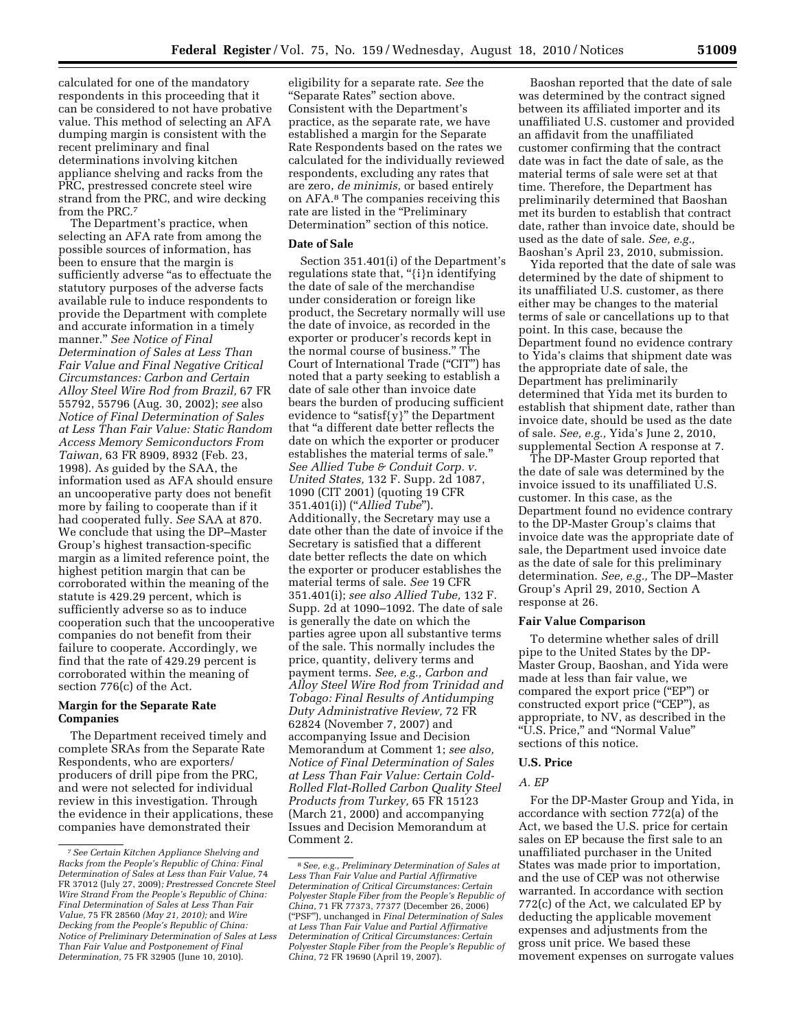calculated for one of the mandatory respondents in this proceeding that it can be considered to not have probative value. This method of selecting an AFA dumping margin is consistent with the recent preliminary and final determinations involving kitchen appliance shelving and racks from the PRC, prestressed concrete steel wire strand from the PRC, and wire decking from the PRC.7

The Department's practice, when selecting an AFA rate from among the possible sources of information, has been to ensure that the margin is sufficiently adverse "as to effectuate the statutory purposes of the adverse facts available rule to induce respondents to provide the Department with complete and accurate information in a timely manner.'' *See Notice of Final Determination of Sales at Less Than Fair Value and Final Negative Critical Circumstances: Carbon and Certain Alloy Steel Wire Rod from Brazil,* 67 FR 55792, 55796 (Aug. 30, 2002); *see* also *Notice of Final Determination of Sales at Less Than Fair Value: Static Random Access Memory Semiconductors From Taiwan,* 63 FR 8909, 8932 (Feb. 23, 1998). As guided by the SAA, the information used as AFA should ensure an uncooperative party does not benefit more by failing to cooperate than if it had cooperated fully. *See* SAA at 870. We conclude that using the DP–Master Group's highest transaction-specific margin as a limited reference point, the highest petition margin that can be corroborated within the meaning of the statute is 429.29 percent, which is sufficiently adverse so as to induce cooperation such that the uncooperative companies do not benefit from their failure to cooperate. Accordingly, we find that the rate of 429.29 percent is corroborated within the meaning of section 776(c) of the Act.

## **Margin for the Separate Rate Companies**

The Department received timely and complete SRAs from the Separate Rate Respondents, who are exporters/ producers of drill pipe from the PRC, and were not selected for individual review in this investigation. Through the evidence in their applications, these companies have demonstrated their

eligibility for a separate rate. *See* the ''Separate Rates'' section above. Consistent with the Department's practice, as the separate rate, we have established a margin for the Separate Rate Respondents based on the rates we calculated for the individually reviewed respondents, excluding any rates that are zero, *de minimis,* or based entirely on AFA.8 The companies receiving this rate are listed in the "Preliminary Determination'' section of this notice.

## **Date of Sale**

Section 351.401(i) of the Department's regulations state that, "{i}n identifying the date of sale of the merchandise under consideration or foreign like product, the Secretary normally will use the date of invoice, as recorded in the exporter or producer's records kept in the normal course of business.'' The Court of International Trade (''CIT'') has noted that a party seeking to establish a date of sale other than invoice date bears the burden of producing sufficient evidence to "satisf{y}" the Department that ''a different date better reflects the date on which the exporter or producer establishes the material terms of sale.'' *See Allied Tube & Conduit Corp. v. United States,* 132 F. Supp. 2d 1087, 1090 (CIT 2001) (quoting 19 CFR 351.401(i)) (''*Allied Tube*''). Additionally, the Secretary may use a date other than the date of invoice if the Secretary is satisfied that a different date better reflects the date on which the exporter or producer establishes the material terms of sale. *See* 19 CFR 351.401(i); *see also Allied Tube,* 132 F. Supp. 2d at 1090–1092. The date of sale is generally the date on which the parties agree upon all substantive terms of the sale. This normally includes the price, quantity, delivery terms and payment terms. *See, e.g., Carbon and Alloy Steel Wire Rod from Trinidad and Tobago: Final Results of Antidumping Duty Administrative Review,* 72 FR 62824 (November 7, 2007) and accompanying Issue and Decision Memorandum at Comment 1; *see also, Notice of Final Determination of Sales at Less Than Fair Value: Certain Cold-Rolled Flat-Rolled Carbon Quality Steel Products from Turkey,* 65 FR 15123 (March 21, 2000) and accompanying Issues and Decision Memorandum at Comment 2.

Baoshan reported that the date of sale was determined by the contract signed between its affiliated importer and its unaffiliated U.S. customer and provided an affidavit from the unaffiliated customer confirming that the contract date was in fact the date of sale, as the material terms of sale were set at that time. Therefore, the Department has preliminarily determined that Baoshan met its burden to establish that contract date, rather than invoice date, should be used as the date of sale. *See, e.g.,*  Baoshan's April 23, 2010, submission.

Yida reported that the date of sale was determined by the date of shipment to its unaffiliated U.S. customer, as there either may be changes to the material terms of sale or cancellations up to that point. In this case, because the Department found no evidence contrary to Yida's claims that shipment date was the appropriate date of sale, the Department has preliminarily determined that Yida met its burden to establish that shipment date, rather than invoice date, should be used as the date of sale. *See, e.g.,* Yida's June 2, 2010, supplemental Section A response at 7.

The DP-Master Group reported that the date of sale was determined by the invoice issued to its unaffiliated U.S. customer. In this case, as the Department found no evidence contrary to the DP-Master Group's claims that invoice date was the appropriate date of sale, the Department used invoice date as the date of sale for this preliminary determination. *See, e.g.,* The DP–Master Group's April 29, 2010, Section A response at 26.

## **Fair Value Comparison**

To determine whether sales of drill pipe to the United States by the DP-Master Group, Baoshan, and Yida were made at less than fair value, we compared the export price (''EP'') or constructed export price ("CEP"), as appropriate, to NV, as described in the ''U.S. Price,'' and ''Normal Value'' sections of this notice.

## **U.S. Price**

## *A. EP*

For the DP-Master Group and Yida, in accordance with section 772(a) of the Act, we based the U.S. price for certain sales on EP because the first sale to an unaffiliated purchaser in the United States was made prior to importation, and the use of CEP was not otherwise warranted. In accordance with section 772(c) of the Act, we calculated EP by deducting the applicable movement expenses and adjustments from the gross unit price. We based these movement expenses on surrogate values

<sup>7</sup>*See Certain Kitchen Appliance Shelving and Racks from the People's Republic of China: Final Determination of Sales at Less than Fair Value,* 74 FR 37012 (July 27, 2009)*; Prestressed Concrete Steel Wire Strand From the People's Republic of China: Final Determination of Sales at Less Than Fair Value,* 75 FR 28560 *(May 21, 2010);* and *Wire Decking from the People's Republic of China: Notice of Preliminary Determination of Sales at Less Than Fair Value and Postponement of Final Determination,* 75 FR 32905 (June 10, 2010).

<sup>8</sup>*See, e.g., Preliminary Determination of Sales at Less Than Fair Value and Partial Affirmative Determination of Critical Circumstances: Certain Polyester Staple Fiber from the People's Republic of China,* 71 FR 77373, 77377 (December 26, 2006) (''PSF''), unchanged in *Final Determination of Sales at Less Than Fair Value and Partial Affirmative Determination of Critical Circumstances: Certain Polyester Staple Fiber from the People's Republic of China,* 72 FR 19690 (April 19, 2007).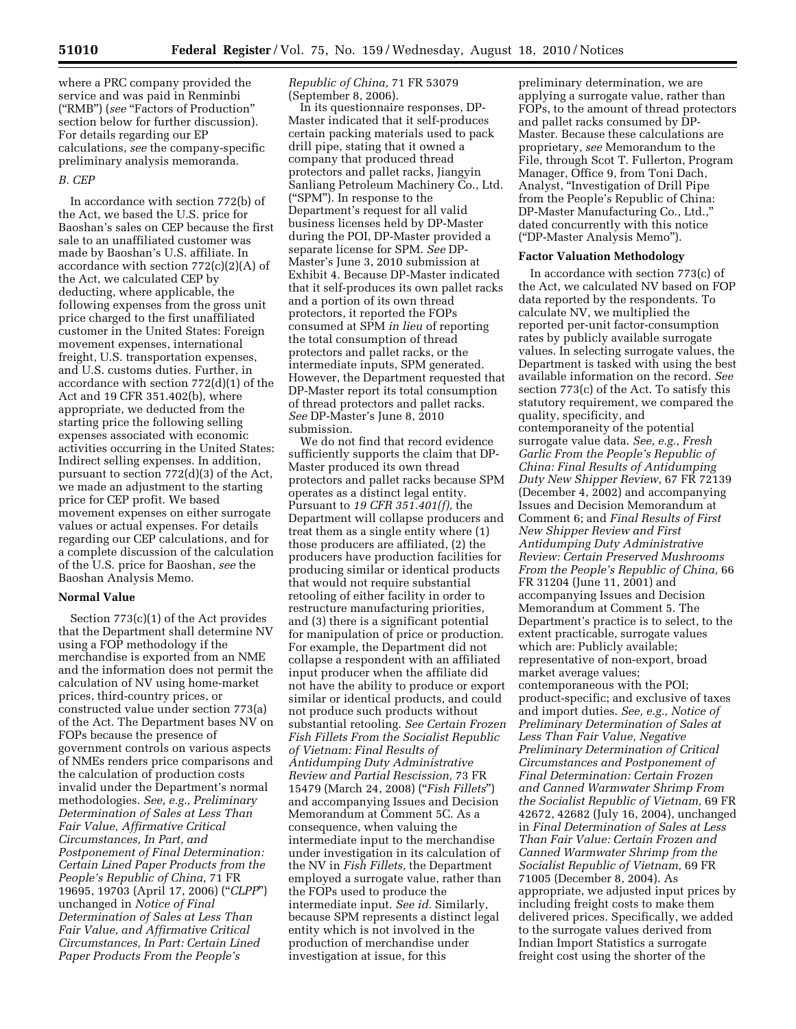where a PRC company provided the service and was paid in Renminbi (''RMB'') (*see* ''Factors of Production'' section below for further discussion). For details regarding our EP calculations, *see* the company-specific preliminary analysis memoranda.

## *B. CEP*

In accordance with section 772(b) of the Act, we based the U.S. price for Baoshan's sales on CEP because the first sale to an unaffiliated customer was made by Baoshan's U.S. affiliate. In accordance with section 772(c)(2)(A) of the Act, we calculated CEP by deducting, where applicable, the following expenses from the gross unit price charged to the first unaffiliated customer in the United States: Foreign movement expenses, international freight, U.S. transportation expenses, and U.S. customs duties. Further, in accordance with section 772(d)(1) of the Act and 19 CFR 351.402(b), where appropriate, we deducted from the starting price the following selling expenses associated with economic activities occurring in the United States: Indirect selling expenses. In addition, pursuant to section 772(d)(3) of the Act, we made an adjustment to the starting price for CEP profit. We based movement expenses on either surrogate values or actual expenses. For details regarding our CEP calculations, and for a complete discussion of the calculation of the U.S. price for Baoshan, *see* the Baoshan Analysis Memo.

## **Normal Value**

Section 773(c)(1) of the Act provides that the Department shall determine NV using a FOP methodology if the merchandise is exported from an NME and the information does not permit the calculation of NV using home-market prices, third-country prices, or constructed value under section 773(a) of the Act. The Department bases NV on FOPs because the presence of government controls on various aspects of NMEs renders price comparisons and the calculation of production costs invalid under the Department's normal methodologies. *See, e.g., Preliminary Determination of Sales at Less Than Fair Value, Affirmative Critical Circumstances, In Part, and Postponement of Final Determination: Certain Lined Paper Products from the People's Republic of China,* 71 FR 19695, 19703 (April 17, 2006) (''*CLPP*'') unchanged in *Notice of Final Determination of Sales at Less Than Fair Value, and Affirmative Critical Circumstances, In Part: Certain Lined Paper Products From the People's* 

*Republic of China,* 71 FR 53079 (September 8, 2006).

In its questionnaire responses, DP-Master indicated that it self-produces certain packing materials used to pack drill pipe, stating that it owned a company that produced thread protectors and pallet racks, Jiangyin Sanliang Petroleum Machinery Co., Ltd. (''SPM''). In response to the Department's request for all valid business licenses held by DP-Master during the POI, DP-Master provided a separate license for SPM. *See* DP-Master's June 3, 2010 submission at Exhibit 4. Because DP-Master indicated that it self-produces its own pallet racks and a portion of its own thread protectors, it reported the FOPs consumed at SPM *in lieu* of reporting the total consumption of thread protectors and pallet racks, or the intermediate inputs, SPM generated. However, the Department requested that DP-Master report its total consumption of thread protectors and pallet racks. *See* DP-Master's June 8, 2010 submission.

We do not find that record evidence sufficiently supports the claim that DP-Master produced its own thread protectors and pallet racks because SPM operates as a distinct legal entity. Pursuant to *19 CFR 351.401(f),* the Department will collapse producers and treat them as a single entity where (1) those producers are affiliated, (2) the producers have production facilities for producing similar or identical products that would not require substantial retooling of either facility in order to restructure manufacturing priorities, and (3) there is a significant potential for manipulation of price or production. For example, the Department did not collapse a respondent with an affiliated input producer when the affiliate did not have the ability to produce or export similar or identical products, and could not produce such products without substantial retooling. *See Certain Frozen Fish Fillets From the Socialist Republic of Vietnam: Final Results of Antidumping Duty Administrative Review and Partial Rescission,* 73 FR 15479 (March 24, 2008) (''*Fish Fillets*'') and accompanying Issues and Decision Memorandum at Comment 5C. As a consequence, when valuing the intermediate input to the merchandise under investigation in its calculation of the NV in *Fish Fillets,* the Department employed a surrogate value, rather than the FOPs used to produce the intermediate input. *See id.* Similarly, because SPM represents a distinct legal entity which is not involved in the production of merchandise under investigation at issue, for this

preliminary determination, we are applying a surrogate value, rather than FOPs, to the amount of thread protectors and pallet racks consumed by DP-Master. Because these calculations are proprietary, *see* Memorandum to the File, through Scot T. Fullerton, Program Manager, Office 9, from Toni Dach, Analyst, ''Investigation of Drill Pipe from the People's Republic of China: DP-Master Manufacturing Co., Ltd.,'' dated concurrently with this notice (''DP-Master Analysis Memo'').

#### **Factor Valuation Methodology**

In accordance with section 773(c) of the Act, we calculated NV based on FOP data reported by the respondents. To calculate NV, we multiplied the reported per-unit factor-consumption rates by publicly available surrogate values. In selecting surrogate values, the Department is tasked with using the best available information on the record. *See*  section 773(c) of the Act. To satisfy this statutory requirement, we compared the quality, specificity, and contemporaneity of the potential surrogate value data. *See, e.g., Fresh Garlic From the People's Republic of China: Final Results of Antidumping Duty New Shipper Review,* 67 FR 72139 (December 4, 2002) and accompanying Issues and Decision Memorandum at Comment 6; and *Final Results of First New Shipper Review and First Antidumping Duty Administrative Review: Certain Preserved Mushrooms From the People's Republic of China,* 66 FR 31204 (June 11, 2001) and accompanying Issues and Decision Memorandum at Comment 5. The Department's practice is to select, to the extent practicable, surrogate values which are: Publicly available; representative of non-export, broad market average values; contemporaneous with the POI; product-specific; and exclusive of taxes and import duties. *See, e.g., Notice of Preliminary Determination of Sales at Less Than Fair Value, Negative Preliminary Determination of Critical Circumstances and Postponement of Final Determination: Certain Frozen and Canned Warmwater Shrimp From the Socialist Republic of Vietnam,* 69 FR 42672, 42682 (July 16, 2004), unchanged in *Final Determination of Sales at Less Than Fair Value: Certain Frozen and Canned Warmwater Shrimp from the Socialist Republic of Vietnam,* 69 FR 71005 (December 8, 2004). As appropriate, we adjusted input prices by including freight costs to make them delivered prices. Specifically, we added to the surrogate values derived from Indian Import Statistics a surrogate freight cost using the shorter of the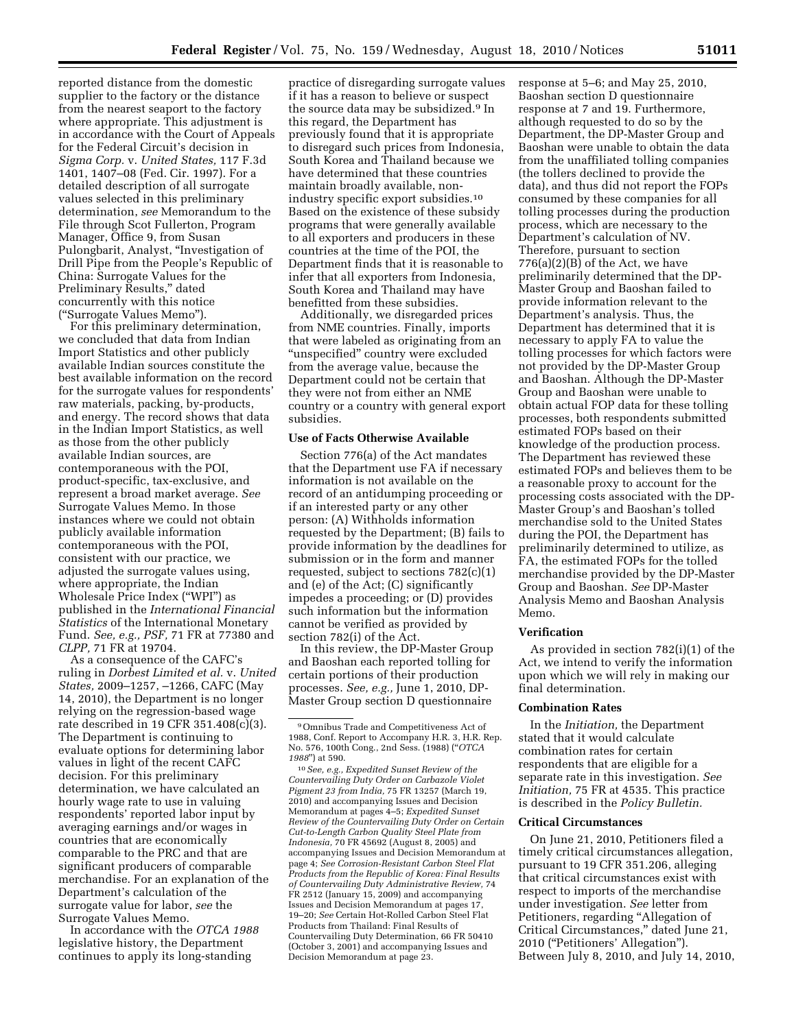reported distance from the domestic supplier to the factory or the distance from the nearest seaport to the factory where appropriate. This adjustment is in accordance with the Court of Appeals for the Federal Circuit's decision in *Sigma Corp.* v. *United States,* 117 F.3d 1401, 1407–08 (Fed. Cir. 1997). For a detailed description of all surrogate values selected in this preliminary determination, *see* Memorandum to the File through Scot Fullerton, Program Manager, Office 9, from Susan Pulongbarit, Analyst, ''Investigation of Drill Pipe from the People's Republic of China: Surrogate Values for the Preliminary Results,'' dated concurrently with this notice (''Surrogate Values Memo'').

For this preliminary determination, we concluded that data from Indian Import Statistics and other publicly available Indian sources constitute the best available information on the record for the surrogate values for respondents' raw materials, packing, by-products, and energy. The record shows that data in the Indian Import Statistics, as well as those from the other publicly available Indian sources, are contemporaneous with the POI, product-specific, tax-exclusive, and represent a broad market average. *See*  Surrogate Values Memo. In those instances where we could not obtain publicly available information contemporaneous with the POI, consistent with our practice, we adjusted the surrogate values using, where appropriate, the Indian Wholesale Price Index (''WPI'') as published in the *International Financial Statistics* of the International Monetary Fund. *See, e.g., PSF,* 71 FR at 77380 and *CLPP,* 71 FR at 19704.

As a consequence of the CAFC's ruling in *Dorbest Limited et al.* v. *United States,* 2009–1257, –1266, CAFC (May 14, 2010), the Department is no longer relying on the regression-based wage rate described in 19 CFR 351.408(c)(3). The Department is continuing to evaluate options for determining labor values in light of the recent CAFC decision. For this preliminary determination, we have calculated an hourly wage rate to use in valuing respondents' reported labor input by averaging earnings and/or wages in countries that are economically comparable to the PRC and that are significant producers of comparable merchandise. For an explanation of the Department's calculation of the surrogate value for labor, *see* the Surrogate Values Memo.

In accordance with the *OTCA 1988*  legislative history, the Department continues to apply its long-standing

practice of disregarding surrogate values if it has a reason to believe or suspect the source data may be subsidized.9 In this regard, the Department has previously found that it is appropriate to disregard such prices from Indonesia, South Korea and Thailand because we have determined that these countries maintain broadly available, nonindustry specific export subsidies.10 Based on the existence of these subsidy programs that were generally available to all exporters and producers in these countries at the time of the POI, the Department finds that it is reasonable to infer that all exporters from Indonesia, South Korea and Thailand may have benefitted from these subsidies.

Additionally, we disregarded prices from NME countries. Finally, imports that were labeled as originating from an ''unspecified'' country were excluded from the average value, because the Department could not be certain that they were not from either an NME country or a country with general export subsidies.

#### **Use of Facts Otherwise Available**

Section 776(a) of the Act mandates that the Department use FA if necessary information is not available on the record of an antidumping proceeding or if an interested party or any other person: (A) Withholds information requested by the Department; (B) fails to provide information by the deadlines for submission or in the form and manner requested, subject to sections 782(c)(1) and (e) of the Act; (C) significantly impedes a proceeding; or (D) provides such information but the information cannot be verified as provided by section 782(i) of the Act.

In this review, the DP-Master Group and Baoshan each reported tolling for certain portions of their production processes. *See, e.g.,* June 1, 2010, DP-Master Group section D questionnaire

response at 5–6; and May 25, 2010, Baoshan section D questionnaire response at 7 and 19. Furthermore, although requested to do so by the Department, the DP-Master Group and Baoshan were unable to obtain the data from the unaffiliated tolling companies (the tollers declined to provide the data), and thus did not report the FOPs consumed by these companies for all tolling processes during the production process, which are necessary to the Department's calculation of NV. Therefore, pursuant to section  $776(a)(2)(B)$  of the Act, we have preliminarily determined that the DP-Master Group and Baoshan failed to provide information relevant to the Department's analysis. Thus, the Department has determined that it is necessary to apply FA to value the tolling processes for which factors were not provided by the DP-Master Group and Baoshan. Although the DP-Master Group and Baoshan were unable to obtain actual FOP data for these tolling processes, both respondents submitted estimated FOPs based on their knowledge of the production process. The Department has reviewed these estimated FOPs and believes them to be a reasonable proxy to account for the processing costs associated with the DP-Master Group's and Baoshan's tolled merchandise sold to the United States during the POI, the Department has preliminarily determined to utilize, as FA, the estimated FOPs for the tolled merchandise provided by the DP-Master Group and Baoshan. *See* DP-Master Analysis Memo and Baoshan Analysis Memo.

## **Verification**

As provided in section 782(i)(1) of the Act, we intend to verify the information upon which we will rely in making our final determination.

## **Combination Rates**

In the *Initiation,* the Department stated that it would calculate combination rates for certain respondents that are eligible for a separate rate in this investigation. *See Initiation,* 75 FR at 4535. This practice is described in the *Policy Bulletin.* 

## **Critical Circumstances**

On June 21, 2010, Petitioners filed a timely critical circumstances allegation, pursuant to 19 CFR 351.206, alleging that critical circumstances exist with respect to imports of the merchandise under investigation. *See* letter from Petitioners, regarding "Allegation of Critical Circumstances,'' dated June 21, 2010 (''Petitioners' Allegation''). Between July 8, 2010, and July 14, 2010,

<sup>9</sup>Omnibus Trade and Competitiveness Act of 1988, Conf. Report to Accompany H.R. 3, H.R. Rep. No. 576, 100th Cong., 2nd Sess. (1988) (''*OTCA 1988*'') at 590.

<sup>10</sup>*See, e.g., Expedited Sunset Review of the Countervailing Duty Order on Carbazole Violet Pigment 23 from India,* 75 FR 13257 (March 19, 2010) and accompanying Issues and Decision Memorandum at pages 4–5; *Expedited Sunset Review of the Countervailing Duty Order on Certain Cut-to-Length Carbon Quality Steel Plate from Indonesia,* 70 FR 45692 (August 8, 2005) and accompanying Issues and Decision Memorandum at page 4; *See Corrosion-Resistant Carbon Steel Flat Products from the Republic of Korea: Final Results of Countervailing Duty Administrative Review,* 74 FR 2512 (January 15, 2009) and accompanying Issues and Decision Memorandum at pages 17, 19–20; *See* Certain Hot-Rolled Carbon Steel Flat Products from Thailand: Final Results of Countervailing Duty Determination, 66 FR 50410 (October 3, 2001) and accompanying Issues and Decision Memorandum at page 23.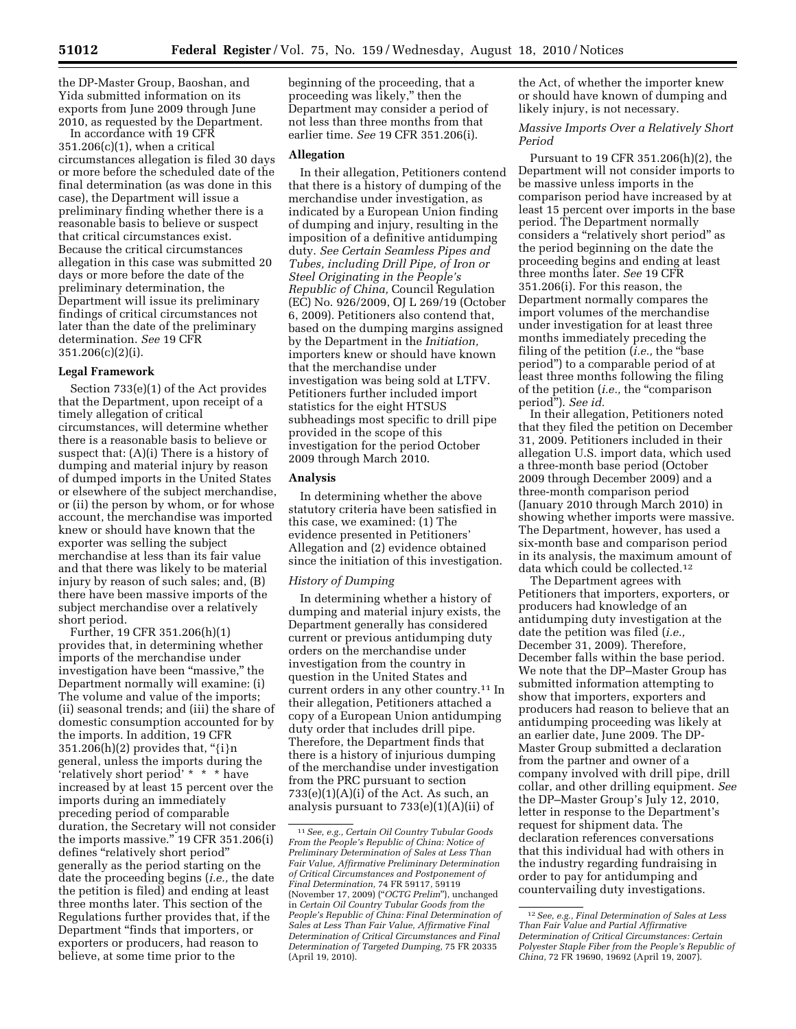the DP-Master Group, Baoshan, and Yida submitted information on its exports from June 2009 through June 2010, as requested by the Department.

In accordance with 19 CFR 351.206(c)(1), when a critical circumstances allegation is filed 30 days or more before the scheduled date of the final determination (as was done in this case), the Department will issue a preliminary finding whether there is a reasonable basis to believe or suspect that critical circumstances exist. Because the critical circumstances allegation in this case was submitted 20 days or more before the date of the preliminary determination, the Department will issue its preliminary findings of critical circumstances not later than the date of the preliminary determination. *See* 19 CFR 351.206(c)(2)(i).

## **Legal Framework**

Section 733(e)(1) of the Act provides that the Department, upon receipt of a timely allegation of critical circumstances, will determine whether there is a reasonable basis to believe or suspect that: (A)(i) There is a history of dumping and material injury by reason of dumped imports in the United States or elsewhere of the subject merchandise, or (ii) the person by whom, or for whose account, the merchandise was imported knew or should have known that the exporter was selling the subject merchandise at less than its fair value and that there was likely to be material injury by reason of such sales; and, (B) there have been massive imports of the subject merchandise over a relatively short period.

Further, 19 CFR 351.206(h)(1) provides that, in determining whether imports of the merchandise under investigation have been "massive," the Department normally will examine: (i) The volume and value of the imports; (ii) seasonal trends; and (iii) the share of domestic consumption accounted for by the imports. In addition, 19 CFR  $351.206(h)(2)$  provides that, "{i}n general, unless the imports during the 'relatively short period' \* \* \* have increased by at least 15 percent over the imports during an immediately preceding period of comparable duration, the Secretary will not consider the imports massive.'' 19 CFR 351.206(i) defines ''relatively short period'' generally as the period starting on the date the proceeding begins (*i.e.,* the date the petition is filed) and ending at least three months later. This section of the Regulations further provides that, if the Department ''finds that importers, or exporters or producers, had reason to believe, at some time prior to the

beginning of the proceeding, that a proceeding was likely,'' then the Department may consider a period of not less than three months from that earlier time. *See* 19 CFR 351.206(i).

## **Allegation**

In their allegation, Petitioners contend that there is a history of dumping of the merchandise under investigation, as indicated by a European Union finding of dumping and injury, resulting in the imposition of a definitive antidumping duty. *See Certain Seamless Pipes and Tubes, including Drill Pipe, of Iron or Steel Originating in the People's Republic of China,* Council Regulation (EC) No. 926/2009, OJ L 269/19 (October 6, 2009). Petitioners also contend that, based on the dumping margins assigned by the Department in the *Initiation,*  importers knew or should have known that the merchandise under investigation was being sold at LTFV. Petitioners further included import statistics for the eight HTSUS subheadings most specific to drill pipe provided in the scope of this investigation for the period October 2009 through March 2010.

## **Analysis**

In determining whether the above statutory criteria have been satisfied in this case, we examined: (1) The evidence presented in Petitioners' Allegation and (2) evidence obtained since the initiation of this investigation.

#### *History of Dumping*

In determining whether a history of dumping and material injury exists, the Department generally has considered current or previous antidumping duty orders on the merchandise under investigation from the country in question in the United States and current orders in any other country.11 In their allegation, Petitioners attached a copy of a European Union antidumping duty order that includes drill pipe. Therefore, the Department finds that there is a history of injurious dumping of the merchandise under investigation from the PRC pursuant to section 733(e)(1)(A)(i) of the Act. As such, an analysis pursuant to 733(e)(1)(A)(ii) of

the Act, of whether the importer knew or should have known of dumping and likely injury, is not necessary.

*Massive Imports Over a Relatively Short Period* 

Pursuant to 19 CFR 351.206(h)(2), the Department will not consider imports to be massive unless imports in the comparison period have increased by at least 15 percent over imports in the base period. The Department normally considers a ''relatively short period'' as the period beginning on the date the proceeding begins and ending at least three months later. *See* 19 CFR 351.206(i). For this reason, the Department normally compares the import volumes of the merchandise under investigation for at least three months immediately preceding the filing of the petition (*i.e.*, the "base period'') to a comparable period of at least three months following the filing of the petition (*i.e.,* the ''comparison period''). *See id.* 

In their allegation, Petitioners noted that they filed the petition on December 31, 2009. Petitioners included in their allegation U.S. import data, which used a three-month base period (October 2009 through December 2009) and a three-month comparison period (January 2010 through March 2010) in showing whether imports were massive. The Department, however, has used a six-month base and comparison period in its analysis, the maximum amount of data which could be collected.12

The Department agrees with Petitioners that importers, exporters, or producers had knowledge of an antidumping duty investigation at the date the petition was filed (*i.e.,*  December 31, 2009). Therefore, December falls within the base period. We note that the DP–Master Group has submitted information attempting to show that importers, exporters and producers had reason to believe that an antidumping proceeding was likely at an earlier date, June 2009. The DP-Master Group submitted a declaration from the partner and owner of a company involved with drill pipe, drill collar, and other drilling equipment. *See*  the DP–Master Group's July 12, 2010, letter in response to the Department's request for shipment data. The declaration references conversations that this individual had with others in the industry regarding fundraising in order to pay for antidumping and countervailing duty investigations.

<sup>11</sup>*See, e.g., Certain Oil Country Tubular Goods From the People's Republic of China: Notice of Preliminary Determination of Sales at Less Than Fair Value, Affirmative Preliminary Determination of Critical Circumstances and Postponement of Final Determination,* 74 FR 59117, 59119 (November 17, 2009) (''*OCTG Prelim*''), unchanged in *Certain Oil Country Tubular Goods from the People's Republic of China: Final Determination of Sales at Less Than Fair Value, Affirmative Final Determination of Critical Circumstances and Final Determination of Targeted Dumping,* 75 FR 20335 (April 19, 2010).

<sup>12</sup>*See, e.g., Final Determination of Sales at Less Than Fair Value and Partial Affirmative Determination of Critical Circumstances: Certain Polyester Staple Fiber from the People's Republic of China,* 72 FR 19690, 19692 (April 19, 2007).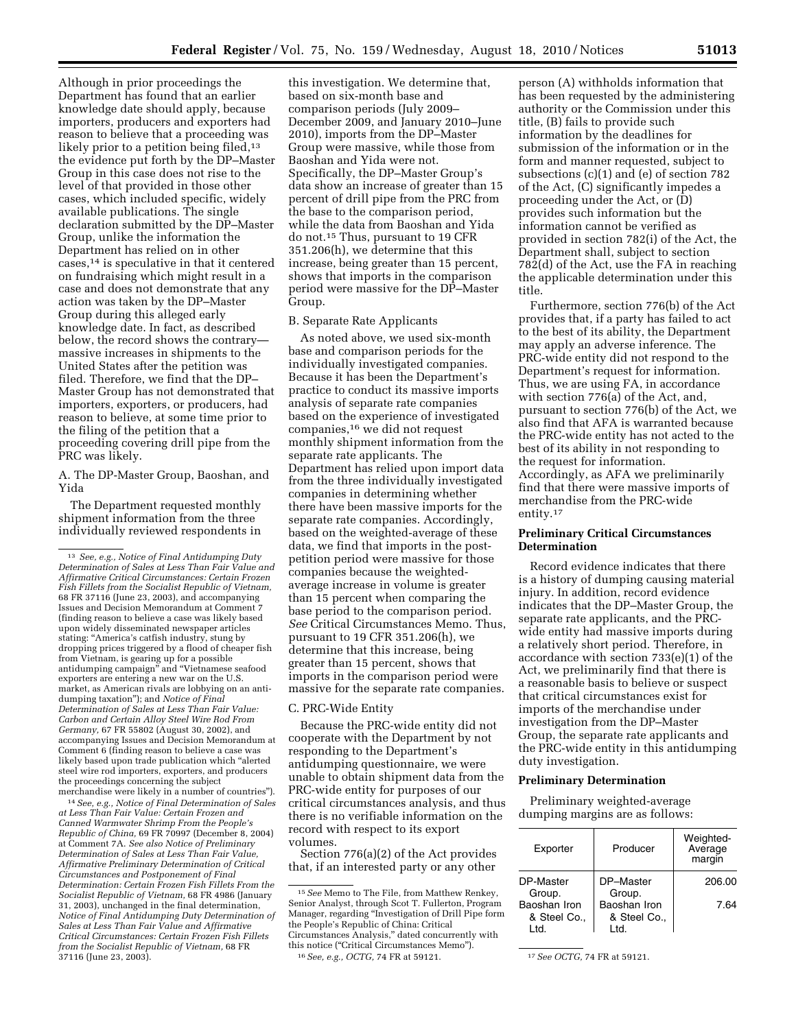Although in prior proceedings the Department has found that an earlier knowledge date should apply, because importers, producers and exporters had reason to believe that a proceeding was likely prior to a petition being filed,<sup>13</sup> the evidence put forth by the DP–Master Group in this case does not rise to the level of that provided in those other cases, which included specific, widely available publications. The single declaration submitted by the DP–Master Group, unlike the information the Department has relied on in other cases,14 is speculative in that it centered on fundraising which might result in a case and does not demonstrate that any action was taken by the DP–Master Group during this alleged early knowledge date. In fact, as described below, the record shows the contrary massive increases in shipments to the United States after the petition was filed. Therefore, we find that the DP– Master Group has not demonstrated that importers, exporters, or producers, had reason to believe, at some time prior to the filing of the petition that a proceeding covering drill pipe from the PRC was likely.

A. The DP-Master Group, Baoshan, and Yida

The Department requested monthly shipment information from the three individually reviewed respondents in

14*See, e.g., Notice of Final Determination of Sales at Less Than Fair Value: Certain Frozen and Canned Warmwater Shrimp From the People's Republic of China,* 69 FR 70997 (December 8, 2004) at Comment 7A. *See also Notice of Preliminary Determination of Sales at Less Than Fair Value, Affirmative Preliminary Determination of Critical Circumstances and Postponement of Final Determination: Certain Frozen Fish Fillets From the Socialist Republic of Vietnam,* 68 FR 4986 (January 31, 2003), unchanged in the final determination, *Notice of Final Antidumping Duty Determination of Sales at Less Than Fair Value and Affirmative Critical Circumstances: Certain Frozen Fish Fillets from the Socialist Republic of Vietnam,* 68 FR 37116 (June 23, 2003).

this investigation. We determine that, based on six-month base and comparison periods (July 2009– December 2009, and January 2010–June 2010), imports from the DP–Master Group were massive, while those from Baoshan and Yida were not. Specifically, the DP–Master Group's data show an increase of greater than 15 percent of drill pipe from the PRC from the base to the comparison period, while the data from Baoshan and Yida do not.15 Thus, pursuant to 19 CFR 351.206(h), we determine that this increase, being greater than 15 percent, shows that imports in the comparison period were massive for the DP–Master Group.

B. Separate Rate Applicants

As noted above, we used six-month base and comparison periods for the individually investigated companies. Because it has been the Department's practice to conduct its massive imports analysis of separate rate companies based on the experience of investigated companies,16 we did not request monthly shipment information from the separate rate applicants. The Department has relied upon import data from the three individually investigated companies in determining whether there have been massive imports for the separate rate companies. Accordingly, based on the weighted-average of these data, we find that imports in the postpetition period were massive for those companies because the weightedaverage increase in volume is greater than 15 percent when comparing the base period to the comparison period. *See* Critical Circumstances Memo. Thus, pursuant to 19 CFR 351.206(h), we determine that this increase, being greater than 15 percent, shows that imports in the comparison period were massive for the separate rate companies.

## C. PRC-Wide Entity

Because the PRC-wide entity did not cooperate with the Department by not responding to the Department's antidumping questionnaire, we were unable to obtain shipment data from the PRC-wide entity for purposes of our critical circumstances analysis, and thus there is no verifiable information on the record with respect to its export volumes.

Section 776(a)(2) of the Act provides that, if an interested party or any other

person (A) withholds information that has been requested by the administering authority or the Commission under this title, (B) fails to provide such information by the deadlines for submission of the information or in the form and manner requested, subject to subsections (c)(1) and (e) of section 782 of the Act, (C) significantly impedes a proceeding under the Act, or (D) provides such information but the information cannot be verified as provided in section 782(i) of the Act, the Department shall, subject to section 782(d) of the Act, use the FA in reaching the applicable determination under this title.

Furthermore, section 776(b) of the Act provides that, if a party has failed to act to the best of its ability, the Department may apply an adverse inference. The PRC-wide entity did not respond to the Department's request for information. Thus, we are using FA, in accordance with section 776(a) of the Act, and, pursuant to section 776(b) of the Act, we also find that AFA is warranted because the PRC-wide entity has not acted to the best of its ability in not responding to the request for information. Accordingly, as AFA we preliminarily find that there were massive imports of merchandise from the PRC-wide entity.17

## **Preliminary Critical Circumstances Determination**

Record evidence indicates that there is a history of dumping causing material injury. In addition, record evidence indicates that the DP–Master Group, the separate rate applicants, and the PRCwide entity had massive imports during a relatively short period. Therefore, in accordance with section 733(e)(1) of the Act, we preliminarily find that there is a reasonable basis to believe or suspect that critical circumstances exist for imports of the merchandise under investigation from the DP–Master Group, the separate rate applicants and the PRC-wide entity in this antidumping duty investigation.

## **Preliminary Determination**

Preliminary weighted-average dumping margins are as follows:

| Exporter                             | Producer                             | Weighted-<br>Average<br>margin |
|--------------------------------------|--------------------------------------|--------------------------------|
| DP-Master<br>Group.                  | DP-Master<br>Group.                  | 206.00                         |
| Baoshan Iron<br>& Steel Co.,<br>ht I | Baoshan Iron<br>& Steel Co.,<br>ht I | 7.64                           |

<sup>13</sup> *See, e.g., Notice of Final Antidumping Duty Determination of Sales at Less Than Fair Value and Affirmative Critical Circumstances: Certain Frozen Fish Fillets from the Socialist Republic of Vietnam,*  68 FR 37116 (June 23, 2003), and accompanying Issues and Decision Memorandum at Comment 7 (finding reason to believe a case was likely based upon widely disseminated newspaper articles stating: "America's catfish industry, stung by dropping prices triggered by a flood of cheaper fish from Vietnam, is gearing up for a possible antidumping campaign'' and ''Vietnamese seafood exporters are entering a new war on the U.S. market, as American rivals are lobbying on an antidumping taxation''); and *Notice of Final Determination of Sales at Less Than Fair Value: Carbon and Certain Alloy Steel Wire Rod From Germany,* 67 FR 55802 (August 30, 2002), and accompanying Issues and Decision Memorandum at Comment 6 (finding reason to believe a case was likely based upon trade publication which ''alerted steel wire rod importers, exporters, and producers the proceedings concerning the subject merchandise were likely in a number of countries'').

<sup>15</sup>*See* Memo to The File, from Matthew Renkey, Senior Analyst, through Scot T. Fullerton, Program Manager, regarding ''Investigation of Drill Pipe form the People's Republic of China: Critical Circumstances Analysis,'' dated concurrently with this notice (''Critical Circumstances Memo''). 16*See, e.g., OCTG,* 74 FR at 59121. 17*See OCTG,* 74 FR at 59121.